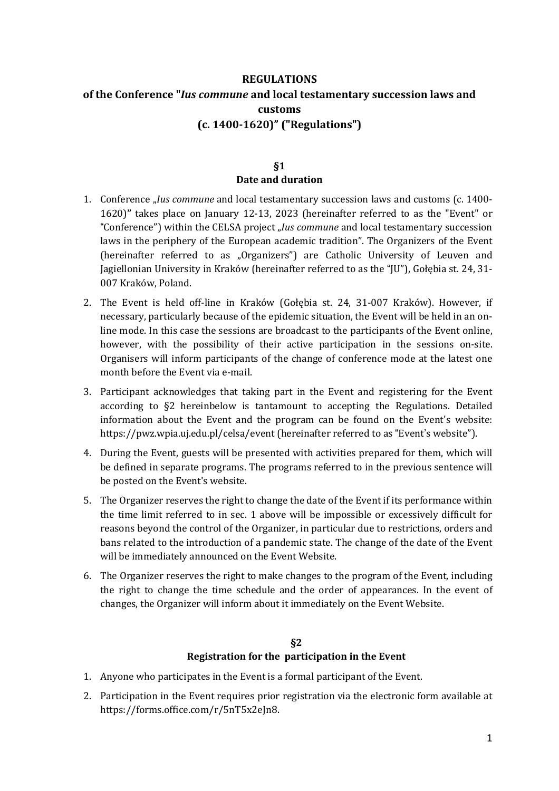# **REGULATIONS of the Conference "***Ius commune* **and local testamentary succession laws and customs (c. 1400-1620)" ("Regulations")**

### **§1 Date and duration**

- 1. Conference "*Ius commune* and local testamentary succession laws and customs (c. 1400- 1620)**"** takes place on January 12-13, 2023 (hereinafter referred to as the "Event" or "Conference") within the CELSA project "*Ius commune* and local testamentary succession laws in the periphery of the European academic tradition". The Organizers of the Event (hereinafter referred to as "Organizers") are Catholic University of Leuven and Jagiellonian University in Kraków (hereinafter referred to as the "JU"), Gołębia st. 24, 31- 007 Kraków, Poland.
- 2. The Event is held off-line in Kraków (Gołębia st. 24, 31-007 Kraków). However, if necessary, particularly because of the epidemic situation, the Event will be held in an online mode. In this case the sessions are broadcast to the participants of the Event online, however, with the possibility of their active participation in the sessions on-site. Organisers will inform participants of the change of conference mode at the latest one month before the Event via e-mail.
- 3. Participant acknowledges that taking part in the Event and registering for the Event according to §2 hereinbelow is tantamount to accepting the Regulations. Detailed information about the Event and the program can be found on the Event's website: https://pwz.wpia.uj.edu.pl/celsa/event (hereinafter referred to as "Event's website").
- 4. During the Event, guests will be presented with activities prepared for them, which will be defined in separate programs. The programs referred to in the previous sentence will be posted on the Event's website.
- 5. The Organizer reserves the right to change the date of the Event if its performance within the time limit referred to in sec. 1 above will be impossible or excessively difficult for reasons beyond the control of the Organizer, in particular due to restrictions, orders and bans related to the introduction of a pandemic state. The change of the date of the Event will be immediately announced on the Event Website.
- 6. The Organizer reserves the right to make changes to the program of the Event, including the right to change the time schedule and the order of appearances. In the event of changes, the Organizer will inform about it immediately on the Event Website.

## **§2 Registration for the participation in the Event**

- 1. Anyone who participates in the Event is a formal participant of the Event.
- 2. Participation in the Event requires prior registration via the electronic form available at https://forms.office.com/r/5nT5x2eJn8.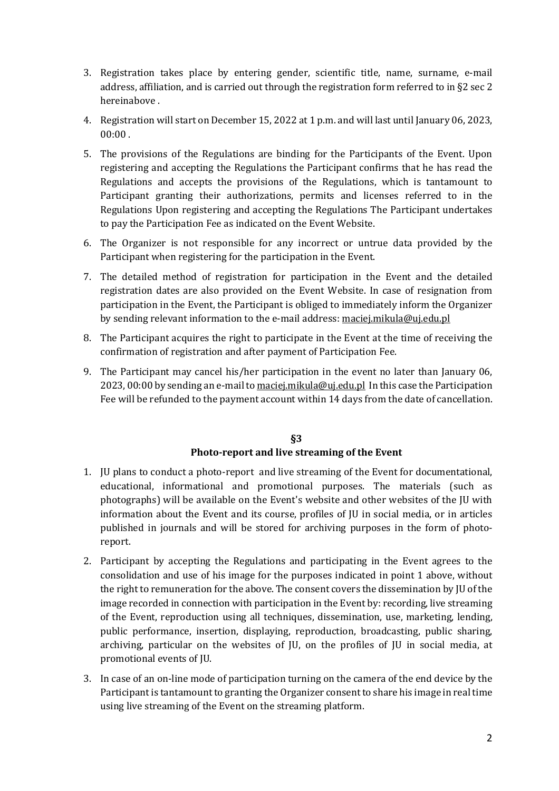- 3. Registration takes place by entering gender, scientific title, name, surname, e-mail address, affiliation, and is carried out through the registration form referred to in §2 sec 2 hereinabove .
- 4. Registration will start on December 15, 2022 at 1 p.m. and will last until January 06, 2023, 00:00 .
- 5. The provisions of the Regulations are binding for the Participants of the Event. Upon registering and accepting the Regulations the Participant confirms that he has read the Regulations and accepts the provisions of the Regulations, which is tantamount to Participant granting their authorizations, permits and licenses referred to in the Regulations Upon registering and accepting the Regulations The Participant undertakes to pay the Participation Fee as indicated on the Event Website.
- 6. The Organizer is not responsible for any incorrect or untrue data provided by the Participant when registering for the participation in the Event.
- 7. The detailed method of registration for participation in the Event and the detailed registration dates are also provided on the Event Website. In case of resignation from participation in the Event, the Participant is obliged to immediately inform the Organizer by sending relevant information to the e-mail address: [maciej.mikula@uj.edu.pl](mailto:maciej.mikula@uj.edu.pl)
- 8. The Participant acquires the right to participate in the Event at the time of receiving the confirmation of registration and after payment of Participation Fee.
- 9. The Participant may cancel his/her participation in the event no later than January 06, 2023, 00:00 by sending an e-mail to [maciej.mikula@uj.edu.pl](mailto:maciej.mikula@uj.edu.pl) In this case the Participation Fee will be refunded to the payment account within 14 days from the date of cancellation.

### **§3 Photo-report and live streaming of the Event**

- 1. JU plans to conduct a photo-report and live streaming of the Event for documentational, educational, informational and promotional purposes. The materials (such as photographs) will be available on the Event's website and other websites of the JU with information about the Event and its course, profiles of JU in social media, or in articles published in journals and will be stored for archiving purposes in the form of photoreport.
- 2. Participant by accepting the Regulations and participating in the Event agrees to the consolidation and use of his image for the purposes indicated in point 1 above, without the right to remuneration for the above. The consent covers the dissemination by JU of the image recorded in connection with participation in the Event by: recording, live streaming of the Event, reproduction using all techniques, dissemination, use, marketing, lending, public performance, insertion, displaying, reproduction, broadcasting, public sharing, archiving, particular on the websites of JU, on the profiles of JU in social media, at promotional events of JU.
- 3. In case of an on-line mode of participation turning on the camera of the end device by the Participant is tantamount to granting the Organizer consent to share his image in real time using live streaming of the Event on the streaming platform.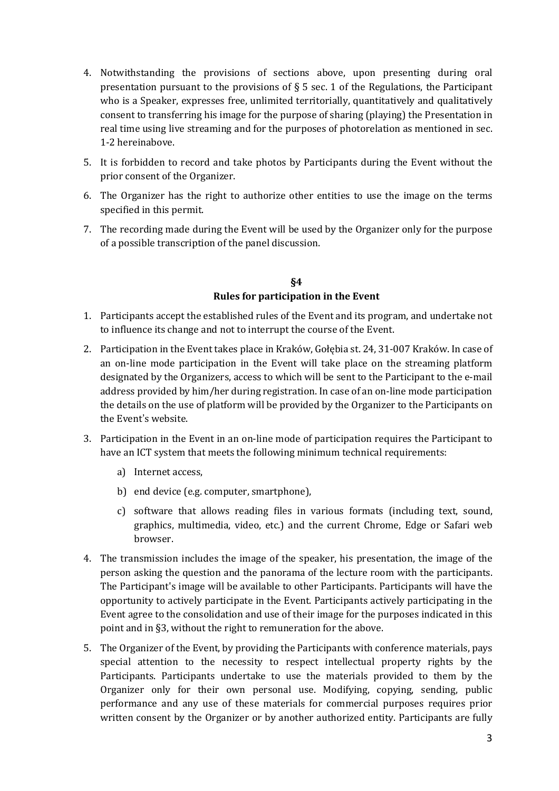- 4. Notwithstanding the provisions of sections above, upon presenting during oral presentation pursuant to the provisions of § 5 sec. 1 of the Regulations, the Participant who is a Speaker, expresses free, unlimited territorially, quantitatively and qualitatively consent to transferring his image for the purpose of sharing (playing) the Presentation in real time using live streaming and for the purposes of photorelation as mentioned in sec. 1-2 hereinabove.
- 5. It is forbidden to record and take photos by Participants during the Event without the prior consent of the Organizer.
- 6. The Organizer has the right to authorize other entities to use the image on the terms specified in this permit.
- 7. The recording made during the Event will be used by the Organizer only for the purpose of a possible transcription of the panel discussion.

### **§4 Rules for participation in the Event**

- 1. Participants accept the established rules of the Event and its program, and undertake not to influence its change and not to interrupt the course of the Event.
- 2. Participation in the Event takes place in Kraków, Gołębia st. 24, 31-007 Kraków. In case of an on-line mode participation in the Event will take place on the streaming platform designated by the Organizers, access to which will be sent to the Participant to the e-mail address provided by him/her during registration. In case of an on-line mode participation the details on the use of platform will be provided by the Organizer to the Participants on the Event's website.
- 3. Participation in the Event in an on-line mode of participation requires the Participant to have an ICT system that meets the following minimum technical requirements:
	- a) Internet access,
	- b) end device (e.g. computer, smartphone),
	- c) software that allows reading files in various formats (including text, sound, graphics, multimedia, video, etc.) and the current Chrome, Edge or Safari web browser.
- 4. The transmission includes the image of the speaker, his presentation, the image of the person asking the question and the panorama of the lecture room with the participants. The Participant's image will be available to other Participants. Participants will have the opportunity to actively participate in the Event. Participants actively participating in the Event agree to the consolidation and use of their image for the purposes indicated in this point and in §3, without the right to remuneration for the above.
- 5. The Organizer of the Event, by providing the Participants with conference materials, pays special attention to the necessity to respect intellectual property rights by the Participants. Participants undertake to use the materials provided to them by the Organizer only for their own personal use. Modifying, copying, sending, public performance and any use of these materials for commercial purposes requires prior written consent by the Organizer or by another authorized entity. Participants are fully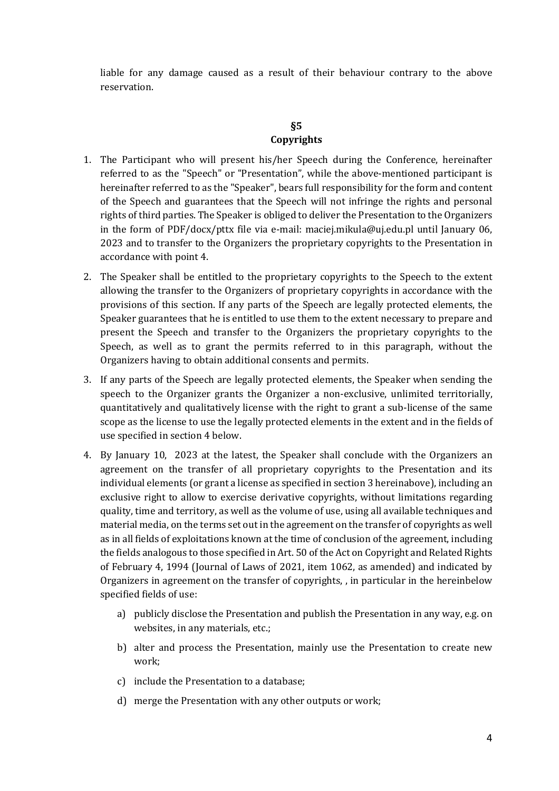liable for any damage caused as a result of their behaviour contrary to the above reservation.

#### **§5 Copyrights**

- 1. The Participant who will present his/her Speech during the Conference, hereinafter referred to as the "Speech" or "Presentation", while the above-mentioned participant is hereinafter referred to as the "Speaker", bears full responsibility for the form and content of the Speech and guarantees that the Speech will not infringe the rights and personal rights of third parties. The Speaker is obliged to deliver the Presentation to the Organizers in the form of PDF/docx/pttx file via e-mail: maciej.mikula@uj.edu.pl until January 06, 2023 and to transfer to the Organizers the proprietary copyrights to the Presentation in accordance with point 4.
- 2. The Speaker shall be entitled to the proprietary copyrights to the Speech to the extent allowing the transfer to the Organizers of proprietary copyrights in accordance with the provisions of this section. If any parts of the Speech are legally protected elements, the Speaker guarantees that he is entitled to use them to the extent necessary to prepare and present the Speech and transfer to the Organizers the proprietary copyrights to the Speech, as well as to grant the permits referred to in this paragraph, without the Organizers having to obtain additional consents and permits.
- 3. If any parts of the Speech are legally protected elements, the Speaker when sending the speech to the Organizer grants the Organizer a non-exclusive, unlimited territorially, quantitatively and qualitatively license with the right to grant a sub-license of the same scope as the license to use the legally protected elements in the extent and in the fields of use specified in section 4 below.
- 4. By January 10, 2023 at the latest, the Speaker shall conclude with the Organizers an agreement on the transfer of all proprietary copyrights to the Presentation and its individual elements (or grant a license as specified in section 3 hereinabove), including an exclusive right to allow to exercise derivative copyrights, without limitations regarding quality, time and territory, as well as the volume of use, using all available techniques and material media, on the terms set out in the agreement on the transfer of copyrights as well as in all fields of exploitations known at the time of conclusion of the agreement, including the fields analogous to those specified in Art. 50 of the Act on Copyright and Related Rights of February 4, 1994 (Journal of Laws of 2021, item 1062, as amended) and indicated by Organizers in agreement on the transfer of copyrights, , in particular in the hereinbelow specified fields of use:
	- a) publicly disclose the Presentation and publish the Presentation in any way, e.g. on websites, in any materials, etc.;
	- b) alter and process the Presentation, mainly use the Presentation to create new work;
	- c) include the Presentation to a database;
	- d) merge the Presentation with any other outputs or work;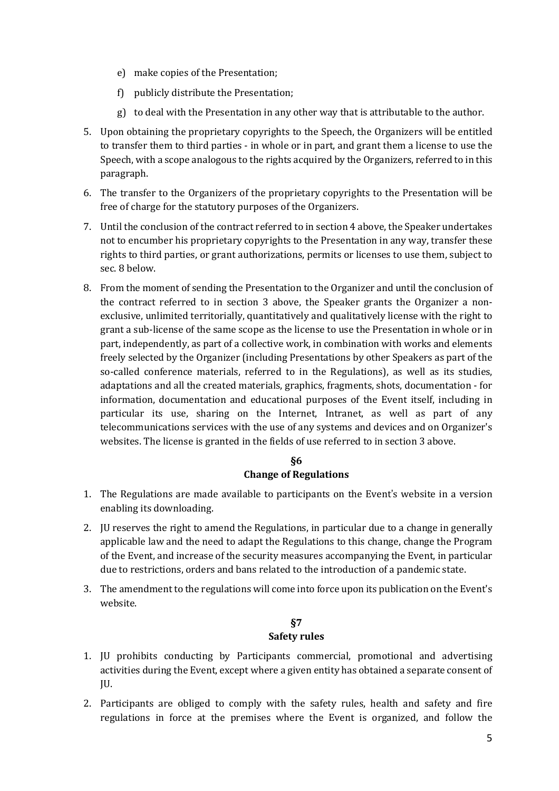- e) make copies of the Presentation;
- f) publicly distribute the Presentation;
- g) to deal with the Presentation in any other way that is attributable to the author.
- 5. Upon obtaining the proprietary copyrights to the Speech, the Organizers will be entitled to transfer them to third parties - in whole or in part, and grant them a license to use the Speech, with a scope analogous to the rights acquired by the Organizers, referred to in this paragraph.
- 6. The transfer to the Organizers of the proprietary copyrights to the Presentation will be free of charge for the statutory purposes of the Organizers.
- 7. Until the conclusion of the contract referred to in section 4 above, the Speaker undertakes not to encumber his proprietary copyrights to the Presentation in any way, transfer these rights to third parties, or grant authorizations, permits or licenses to use them, subject to sec. 8 below.
- 8. From the moment of sending the Presentation to the Organizer and until the conclusion of the contract referred to in section 3 above, the Speaker grants the Organizer a nonexclusive, unlimited territorially, quantitatively and qualitatively license with the right to grant a sub-license of the same scope as the license to use the Presentation in whole or in part, independently, as part of a collective work, in combination with works and elements freely selected by the Organizer (including Presentations by other Speakers as part of the so-called conference materials, referred to in the Regulations), as well as its studies, adaptations and all the created materials, graphics, fragments, shots, documentation - for information, documentation and educational purposes of the Event itself, including in particular its use, sharing on the Internet, Intranet, as well as part of any telecommunications services with the use of any systems and devices and on Organizer's websites. The license is granted in the fields of use referred to in section 3 above.

## **§6 Change of Regulations**

- 1. The Regulations are made available to participants on the Event's website in a version enabling its downloading.
- 2. JU reserves the right to amend the Regulations, in particular due to a change in generally applicable law and the need to adapt the Regulations to this change, change the Program of the Event, and increase of the security measures accompanying the Event, in particular due to restrictions, orders and bans related to the introduction of a pandemic state.
- 3. The amendment to the regulations will come into force upon its publication on the Event's website.

#### **§7 Safety rules**

- 1. JU prohibits conducting by Participants commercial, promotional and advertising activities during the Event, except where a given entity has obtained a separate consent of JU.
- 2. Participants are obliged to comply with the safety rules, health and safety and fire regulations in force at the premises where the Event is organized, and follow the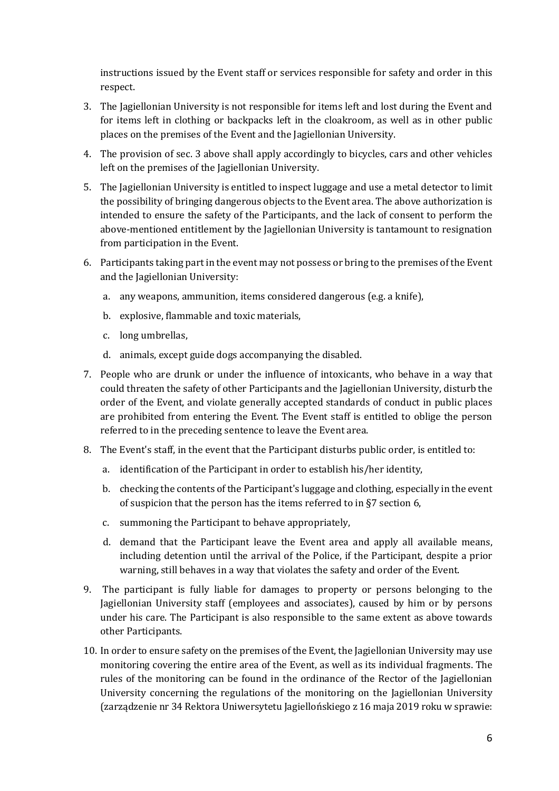instructions issued by the Event staff or services responsible for safety and order in this respect.

- 3. The Jagiellonian University is not responsible for items left and lost during the Event and for items left in clothing or backpacks left in the cloakroom, as well as in other public places on the premises of the Event and the Jagiellonian University.
- 4. The provision of sec. 3 above shall apply accordingly to bicycles, cars and other vehicles left on the premises of the Jagiellonian University.
- 5. The Jagiellonian University is entitled to inspect luggage and use a metal detector to limit the possibility of bringing dangerous objects to the Event area. The above authorization is intended to ensure the safety of the Participants, and the lack of consent to perform the above-mentioned entitlement by the Jagiellonian University is tantamount to resignation from participation in the Event.
- 6. Participants taking part in the event may not possess or bring to the premises of the Event and the Jagiellonian University:
	- a. any weapons, ammunition, items considered dangerous (e.g. a knife),
	- b. explosive, flammable and toxic materials,
	- c. long umbrellas,
	- d. animals, except guide dogs accompanying the disabled.
- 7. People who are drunk or under the influence of intoxicants, who behave in a way that could threaten the safety of other Participants and the Jagiellonian University, disturb the order of the Event, and violate generally accepted standards of conduct in public places are prohibited from entering the Event. The Event staff is entitled to oblige the person referred to in the preceding sentence to leave the Event area.
- 8. The Event's staff, in the event that the Participant disturbs public order, is entitled to:
	- a. identification of the Participant in order to establish his/her identity,
	- b. checking the contents of the Participant's luggage and clothing, especially in the event of suspicion that the person has the items referred to in §7 section 6,
	- c. summoning the Participant to behave appropriately,
	- d. demand that the Participant leave the Event area and apply all available means, including detention until the arrival of the Police, if the Participant, despite a prior warning, still behaves in a way that violates the safety and order of the Event.
- 9. The participant is fully liable for damages to property or persons belonging to the Jagiellonian University staff (employees and associates), caused by him or by persons under his care. The Participant is also responsible to the same extent as above towards other Participants.
- 10. In order to ensure safety on the premises of the Event, the Jagiellonian University may use monitoring covering the entire area of the Event, as well as its individual fragments. The rules of the monitoring can be found in the ordinance of the Rector of the Jagiellonian University concerning the regulations of the monitoring on the Jagiellonian University (zarządzenie nr 34 Rektora Uniwersytetu Jagiellońskiego z 16 maja 2019 roku w sprawie: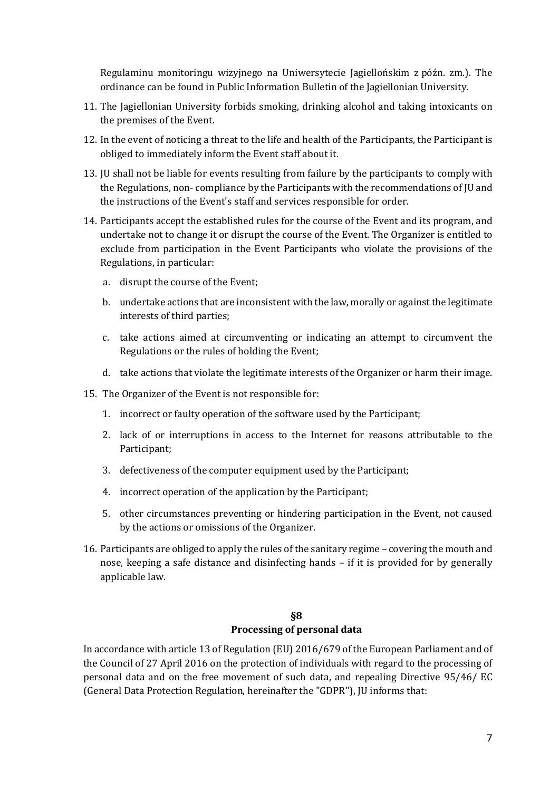Regulaminu monitoringu wizyjnego na Uniwersytecie Jagiellońskim z późn. zm.). The ordinance can be found in Public Information Bulletin of the Jagiellonian University.

- 11. The Jagiellonian University forbids smoking, drinking alcohol and taking intoxicants on the premises of the Event.
- 12. In the event of noticing a threat to the life and health of the Participants, the Participant is obliged to immediately inform the Event staff about it.
- 13. JU shall not be liable for events resulting from failure by the participants to comply with the Regulations, non- compliance by the Participants with the recommendations of JU and the instructions of the Event's staff and services responsible for order.
- 14. Participants accept the established rules for the course of the Event and its program, and undertake not to change it or disrupt the course of the Event. The Organizer is entitled to exclude from participation in the Event Participants who violate the provisions of the Regulations, in particular:
	- a. disrupt the course of the Event;
	- b. undertake actions that are inconsistent with the law, morally or against the legitimate interests of third parties;
	- c. take actions aimed at circumventing or indicating an attempt to circumvent the Regulations or the rules of holding the Event;
	- d. take actions that violate the legitimate interests of the Organizer or harm their image.
- 15. The Organizer of the Event is not responsible for:
	- 1. incorrect or faulty operation of the software used by the Participant;
	- 2. lack of or interruptions in access to the Internet for reasons attributable to the Participant;
	- 3. defectiveness of the computer equipment used by the Participant;
	- 4. incorrect operation of the application by the Participant;
	- 5. other circumstances preventing or hindering participation in the Event, not caused by the actions or omissions of the Organizer.
- 16. Participants are obliged to apply the rules of the sanitary regime covering the mouth and nose, keeping a safe distance and disinfecting hands – if it is provided for by generally applicable law.

### **§8 Processing of personal data**

In accordance with article 13 of Regulation (EU) 2016/679 of the European Parliament and of the Council of 27 April 2016 on the protection of individuals with regard to the processing of personal data and on the free movement of such data, and repealing Directive 95/46/ EC (General Data Protection Regulation, hereinafter the "GDPR"), JU informs that: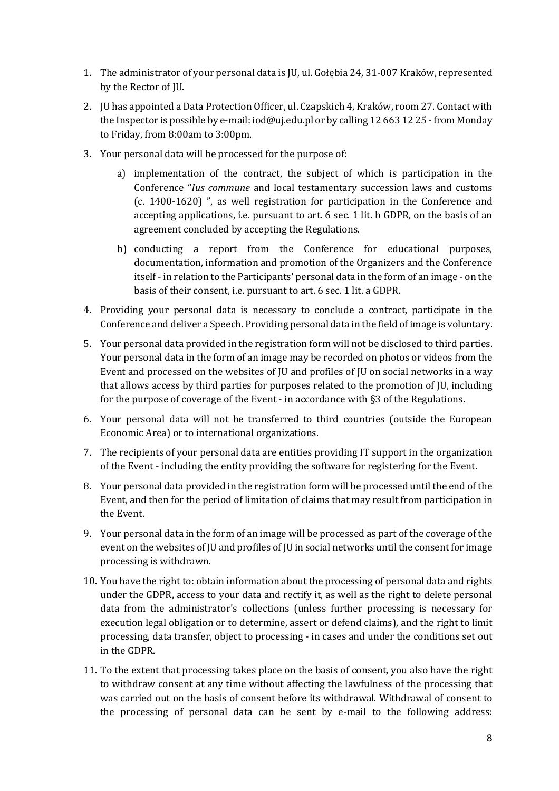- 1. The administrator of your personal data is JU, ul. Gołębia 24, 31-007 Kraków, represented by the Rector of JU.
- 2. JU has appointed a Data Protection Officer, ul. Czapskich 4, Kraków, room 27. Contact with the Inspector is possible by e-mail: iod@uj.edu.pl or by calling 12 663 12 25 - from Monday to Friday, from 8:00am to 3:00pm.
- 3. Your personal data will be processed for the purpose of:
	- a) implementation of the contract, the subject of which is participation in the Conference "*Ius commune* and local testamentary succession laws and customs (c. 1400-1620) ", as well registration for participation in the Conference and accepting applications, i.e. pursuant to art. 6 sec. 1 lit. b GDPR, on the basis of an agreement concluded by accepting the Regulations.
	- b) conducting a report from the Conference for educational purposes, documentation, information and promotion of the Organizers and the Conference itself - in relation to the Participants' personal data in the form of an image - on the basis of their consent, i.e. pursuant to art. 6 sec. 1 lit. a GDPR.
- 4. Providing your personal data is necessary to conclude a contract, participate in the Conference and deliver a Speech. Providing personal data in the field of image is voluntary.
- 5. Your personal data provided in the registration form will not be disclosed to third parties. Your personal data in the form of an image may be recorded on photos or videos from the Event and processed on the websites of JU and profiles of JU on social networks in a way that allows access by third parties for purposes related to the promotion of JU, including for the purpose of coverage of the Event - in accordance with §3 of the Regulations.
- 6. Your personal data will not be transferred to third countries (outside the European Economic Area) or to international organizations.
- 7. The recipients of your personal data are entities providing IT support in the organization of the Event - including the entity providing the software for registering for the Event.
- 8. Your personal data provided in the registration form will be processed until the end of the Event, and then for the period of limitation of claims that may result from participation in the Event.
- 9. Your personal data in the form of an image will be processed as part of the coverage of the event on the websites of JU and profiles of JU in social networks until the consent for image processing is withdrawn.
- 10. You have the right to: obtain information about the processing of personal data and rights under the GDPR, access to your data and rectify it, as well as the right to delete personal data from the administrator's collections (unless further processing is necessary for execution legal obligation or to determine, assert or defend claims), and the right to limit processing, data transfer, object to processing - in cases and under the conditions set out in the GDPR.
- 11. To the extent that processing takes place on the basis of consent, you also have the right to withdraw consent at any time without affecting the lawfulness of the processing that was carried out on the basis of consent before its withdrawal. Withdrawal of consent to the processing of personal data can be sent by e-mail to the following address: